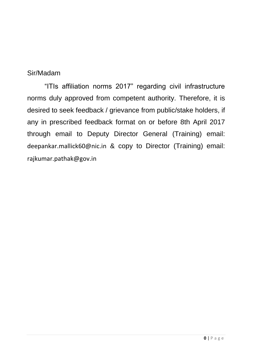# Sir/Madam

"ITIs affiliation norms 2017" regarding civil infrastructure norms duly approved from competent authority. Therefore, it is desired to seek feedback / grievance from public/stake holders, if any in prescribed feedback format on or before 8th April 2017 through email to Deputy Director General (Training) email: [deepankar.mallick60@nic.in](mailto:deepankar.mallick60@nic.in) & copy to Director (Training) email: [rajkumar.pathak@gov.in](mailto:rajkumar.pathak@gov.in)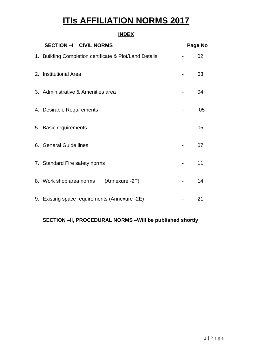# **ITIs AFFILIATION NORMS 2017**

## **INDEX**

| SECTION -I CIVIL NORMS                                 | Page No |
|--------------------------------------------------------|---------|
| 1. Building Completion certificate & Plot/Land Details | 02      |
| 2. Institutional Area                                  | 03      |
| 3. Administrative & Amenities area                     | 04      |
| 4. Desirable Requirements                              | 05      |
| 5. Basic requirements                                  | 05      |
| 6. General Guide lines                                 | 07      |
| 7. Standard Fire safety norms                          | 11      |
| 8. Work shop area norms (Annexure -2F)                 | 14      |
| 9. Existing space requirements (Annexure -2E)          | 21      |

## **SECTION –II, PROCEDURAL NORMS –Will be published shortly**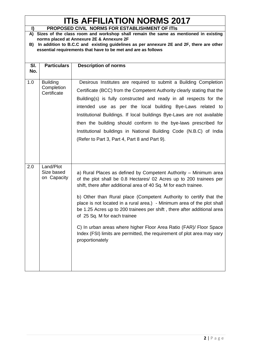# **ITIs AFFILIATION NORMS 2017**

| $\mathbf{I}$ | PROPOSED CIVIL NORMS FOR ESTABLISHMENT OF ITIS                |                                                                                         |  |  |  |  |  |  |  |
|--------------|---------------------------------------------------------------|-----------------------------------------------------------------------------------------|--|--|--|--|--|--|--|
|              |                                                               | A) Sizes of the class room and workshop shall remain the same as mentioned in existing  |  |  |  |  |  |  |  |
|              |                                                               | norms placed at Annexure 2E & Annexure 2F                                               |  |  |  |  |  |  |  |
| B)           |                                                               | In addition to B.C.C and existing guidelines as per annexure 2E and 2F, there are other |  |  |  |  |  |  |  |
|              | essential requirements that have to be met and are as follows |                                                                                         |  |  |  |  |  |  |  |
|              |                                                               |                                                                                         |  |  |  |  |  |  |  |
| SI.          | <b>Particulars</b>                                            | <b>Description of norms</b>                                                             |  |  |  |  |  |  |  |
| No.          |                                                               |                                                                                         |  |  |  |  |  |  |  |
|              |                                                               |                                                                                         |  |  |  |  |  |  |  |
| 1.0          | <b>Building</b>                                               | Desirous Institutes are required to submit a Building Completion                        |  |  |  |  |  |  |  |
|              | Completion<br>Certificate                                     | Certificate (BCC) from the Competent Authority clearly stating that the                 |  |  |  |  |  |  |  |
|              |                                                               | Building(s) is fully constructed and ready in all respects for the                      |  |  |  |  |  |  |  |
|              |                                                               | intended use as per the local building Bye-Laws related to                              |  |  |  |  |  |  |  |
|              |                                                               |                                                                                         |  |  |  |  |  |  |  |
|              |                                                               | Institutional Buildings. If local buildings Bye-Laws are not available                  |  |  |  |  |  |  |  |
|              |                                                               | then the building should conform to the bye-laws prescribed for                         |  |  |  |  |  |  |  |
|              |                                                               | Institutional buildings in National Building Code (N.B.C) of India                      |  |  |  |  |  |  |  |
|              |                                                               | (Refer to Part 3, Part 4, Part 8 and Part 9).                                           |  |  |  |  |  |  |  |
|              |                                                               |                                                                                         |  |  |  |  |  |  |  |
|              |                                                               |                                                                                         |  |  |  |  |  |  |  |
|              |                                                               |                                                                                         |  |  |  |  |  |  |  |
| 2.0          | Land/Plot                                                     |                                                                                         |  |  |  |  |  |  |  |
|              | Size based                                                    | a) Rural Places as defined by Competent Authority - Minimum area                        |  |  |  |  |  |  |  |
|              | on Capacity                                                   | of the plot shall be 0.8 Hectares/ 02 Acres up to 200 trainees per                      |  |  |  |  |  |  |  |
|              |                                                               | shift, there after additional area of 40 Sq. M for each trainee.                        |  |  |  |  |  |  |  |
|              |                                                               |                                                                                         |  |  |  |  |  |  |  |
|              |                                                               | b) Other than Rural place (Competent Authority to certify that the                      |  |  |  |  |  |  |  |
|              |                                                               | place is not located in a rural area.) - Minimum area of the plot shall                 |  |  |  |  |  |  |  |
|              |                                                               | be 1.25 Acres up to 200 trainees per shift, there after additional area                 |  |  |  |  |  |  |  |
|              |                                                               | of 25 Sq. M for each trainee                                                            |  |  |  |  |  |  |  |
|              |                                                               |                                                                                         |  |  |  |  |  |  |  |
|              |                                                               | C) In urban areas where higher Floor Area Ratio (FAR)/ Floor Space                      |  |  |  |  |  |  |  |
|              |                                                               | Index (FSI) limits are permitted, the requirement of plot area may vary                 |  |  |  |  |  |  |  |
|              |                                                               | proportionately                                                                         |  |  |  |  |  |  |  |
|              |                                                               |                                                                                         |  |  |  |  |  |  |  |
|              |                                                               |                                                                                         |  |  |  |  |  |  |  |
|              |                                                               |                                                                                         |  |  |  |  |  |  |  |
|              |                                                               |                                                                                         |  |  |  |  |  |  |  |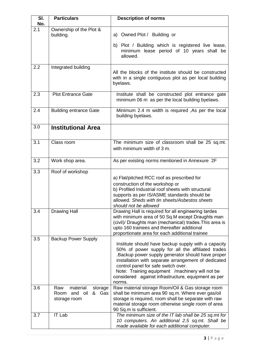| SI.<br>No. | <b>Particulars</b>                                                     | <b>Description of norms</b>                                                                                                                                                                                                                                                                                                                                                     |
|------------|------------------------------------------------------------------------|---------------------------------------------------------------------------------------------------------------------------------------------------------------------------------------------------------------------------------------------------------------------------------------------------------------------------------------------------------------------------------|
| 2.1        | Ownership of the Plot &<br>building.                                   | a) Owned Plot / Building or<br>b) Plot / Building which is registered live lease,<br>minimum lease period of 10 years shall be<br>allowed.                                                                                                                                                                                                                                      |
| 2.2        | Integrated building                                                    | All the blocks of the institute should be constructed<br>with in a single contiguous plot as per local building<br>byelaws.                                                                                                                                                                                                                                                     |
| 2.3        | <b>Plot Entrance Gate</b>                                              | Institute shall be constructed plot entrance gate<br>minimum 06 m as per the local building byelaws.                                                                                                                                                                                                                                                                            |
| 2.4        | <b>Building entrance Gate</b>                                          | Minimum 2.4 m width is required, As per the local<br>building byelaws.                                                                                                                                                                                                                                                                                                          |
| 3.0        | <b>Institutional Area</b>                                              |                                                                                                                                                                                                                                                                                                                                                                                 |
| 3.1        | Class room                                                             | The minimum size of classroom shall be 25 sq.mt.<br>with minimum width of 3 m.                                                                                                                                                                                                                                                                                                  |
| 3.2        | Work shop area.                                                        | As per existing norms mentioned in Annexure 2F                                                                                                                                                                                                                                                                                                                                  |
| 3.3        | Roof of workshop                                                       | a) Flat/pitched RCC roof as prescribed for<br>construction of the workshop or<br>b) Profiled Industrial roof sheets with structural<br>supports as per IS/ASME standards should be<br>allowed. Sheds with tin sheets/Asbestos sheets<br>should not be allowed                                                                                                                   |
| 3.4        | <b>Drawing Hall</b>                                                    | Drawing Hall is required for all engineering tardes<br>with minimum area of 50 Sq.M except Draughts man<br>(civil)/ Draughts man (mechanical) trades. This area is<br>upto 160 trainees and thereafter additional<br>proportionate area for each additional trainee                                                                                                             |
| 3.5        | <b>Backup Power Supply</b>                                             | Institute should have backup supply with a capacity<br>50% of power supply for all the affiliated trades<br>.Backup power supply generator should have proper<br>installation with separate arrangement of dedicated<br>control panel for safe switch over.<br>Note: Training equipment /machinery will not be<br>considered against infrastructure, equipment as per<br>norms. |
| 3.6        | material<br>Raw<br>storage<br>and oil<br>& Gas<br>Room<br>storage room | Raw material storage Room/Oil & Gas storage room<br>shall be minimum area 90 sq.m. Where ever gas/oil<br>storage is required, room shall be separate with raw<br>material storage room otherwise single room of area<br>90 Sq.m is sufficient.                                                                                                                                  |
| 3.7        | <b>IT Lab</b>                                                          | The minimum size of the IT lab shall be 25 sq.mt for<br>10 computers. An additional 2.5 sq.mt. Shall be<br>made available for each additional computer.                                                                                                                                                                                                                         |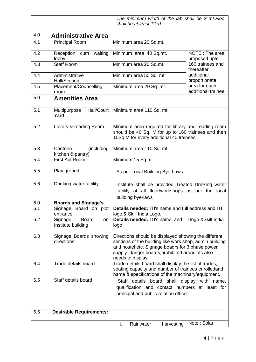|     |                                                     | The minimum width of the lab shall be 3 mt. Floor<br>shall be at least Tiled                                                                                                                                                                 |                                     |  |  |  |
|-----|-----------------------------------------------------|----------------------------------------------------------------------------------------------------------------------------------------------------------------------------------------------------------------------------------------------|-------------------------------------|--|--|--|
| 4.0 |                                                     |                                                                                                                                                                                                                                              |                                     |  |  |  |
| 4.1 | <b>Administrative Area</b><br><b>Principal Room</b> | Minimum area 20 Sq.mt.                                                                                                                                                                                                                       |                                     |  |  |  |
|     |                                                     |                                                                                                                                                                                                                                              |                                     |  |  |  |
| 4.2 | Reception cum waiting<br>lobby                      | Minimum area 40 Sq.mt.                                                                                                                                                                                                                       | NOTE: The area<br>proposed upto     |  |  |  |
| 4.3 | <b>Staff Room</b>                                   | Minimum area 20 Sq.mt.                                                                                                                                                                                                                       | 160 trainees and<br>thereafter      |  |  |  |
| 4.4 | Administrative<br>Hall/Section.                     | Minimum area 50 Sq. mt.                                                                                                                                                                                                                      | additional<br>proportionate         |  |  |  |
| 4.5 | Placement/Counselling<br>room                       | Minimum area 20 Sq. mt.                                                                                                                                                                                                                      | area for each<br>additional trainee |  |  |  |
| 5.0 | <b>Amenities Area</b>                               |                                                                                                                                                                                                                                              |                                     |  |  |  |
| 5.1 | Hall/Court<br>Multipurpose<br>Yard                  | Minimum area 110 Sq. mt.                                                                                                                                                                                                                     |                                     |  |  |  |
| 5.2 | Library & reading Room                              | Minimum area required for library and reading room<br>should be 40 Sq. M for up to 160 trainees and then<br>10Sq.M for every additional 40 trainees.                                                                                         |                                     |  |  |  |
| 5.3 | (including<br>Canteen<br>kitchen & pantry)          | Minimum area 110 Sq. mt                                                                                                                                                                                                                      |                                     |  |  |  |
| 5.4 | First Aid Room                                      | Minimum 15 Sq.m                                                                                                                                                                                                                              |                                     |  |  |  |
| 5.5 | Play ground                                         | As per Local Building Bye-Laws.                                                                                                                                                                                                              |                                     |  |  |  |
| 5.6 | Drinking water facility                             | Institute shall be provided Treated Drinking water<br>facility at all floor/workshops as per the local<br>building bye-laws                                                                                                                  |                                     |  |  |  |
| 6.0 | <b>Boards and Signage's</b>                         |                                                                                                                                                                                                                                              |                                     |  |  |  |
| 6.1 | Signage Board on plot<br>entrance                   | Details needed: ITI's name and full address and ITI<br>logo & Skill India Logo.                                                                                                                                                              |                                     |  |  |  |
| 6.2 | Signage<br><b>Board</b><br>on<br>Institute building | Details needed: ITI's name, and ITI logo & Skill India<br>logo                                                                                                                                                                               |                                     |  |  |  |
| 6.3 | Signage Boards showing<br>directions                | Directions should be displayed showing the different<br>sections of the building like work shop, admin building<br>and hostel etc. Signage boadrs for 3 phase power<br>supply, danger boards, prohibited areas etc also<br>needs to display. |                                     |  |  |  |
| 6.4 | Trade details board                                 | Trade details board shall display the list of trades,<br>seating capacity and number of trainees enrolledand<br>name & specifications of the machinary/equipment.                                                                            |                                     |  |  |  |
| 6.5 | Staff details board                                 | Staff details board shall display with name,<br>qualification and contact numbers at least for<br>principal and public relation officer.                                                                                                     |                                     |  |  |  |
| 6.6 | <b>Desirable Requirements:</b>                      |                                                                                                                                                                                                                                              |                                     |  |  |  |
|     |                                                     | i.<br>Rainwater<br>harvesting                                                                                                                                                                                                                | Note: Solar                         |  |  |  |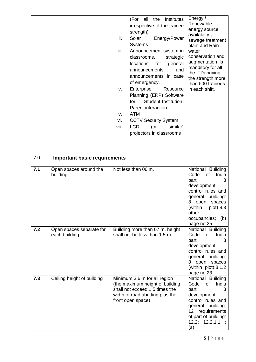| 7.0 |                                           | (For all the<br>Institutes<br>irrespective of the trainee<br>strength)<br>ii.<br>Solar<br>Energy/Power<br><b>Systems</b><br>iii.<br>Announcement system in<br>classrooms,<br>strategic<br><b>locations</b><br>for<br>general<br>and<br>announcements<br>announcements in case<br>of emergency.<br>Enterprise<br>iv.<br>Resource<br>Planning (ERP) Software<br>Student-Institution-<br>for<br>Parent interaction<br><b>ATM</b><br>v.<br>vi.<br><b>CCTV Security System</b><br>vii.<br><b>LCD</b><br>$($ or<br>similar)<br>projectors in classrooms | Energy /<br>Renewable<br>energy source<br>availabiity,<br>sewage treatment<br>plant and Rain<br>water<br>conservation and<br>augmentation is<br>manditory for all<br>the ITI's having<br>the strength more<br>than 500 trainees<br>in each shift. |
|-----|-------------------------------------------|---------------------------------------------------------------------------------------------------------------------------------------------------------------------------------------------------------------------------------------------------------------------------------------------------------------------------------------------------------------------------------------------------------------------------------------------------------------------------------------------------------------------------------------------------|---------------------------------------------------------------------------------------------------------------------------------------------------------------------------------------------------------------------------------------------------|
|     | <b>Important basic requirements</b>       |                                                                                                                                                                                                                                                                                                                                                                                                                                                                                                                                                   |                                                                                                                                                                                                                                                   |
| 7.1 | Open spaces around the<br>building        | Not less than 06 m.                                                                                                                                                                                                                                                                                                                                                                                                                                                                                                                               | National Building<br>Code<br>India<br>of<br>part<br>3<br>development<br>control rules and<br>general building:<br>open<br>spaces<br>8<br>(within<br>plot):8.3<br>other<br>occupancies; (b)<br>page no.25                                          |
| 7.2 | Open spaces separate for<br>each building | Building more than 07 m. height<br>shall not be less than 1.5 m                                                                                                                                                                                                                                                                                                                                                                                                                                                                                   | National Building<br>Code<br>India<br>0f<br>part<br>3<br>development<br>control rules and<br>general building:<br>8 open spaces<br>(within plot):8.1.2<br>page no.23                                                                              |
| 7.3 | Ceiling height of building                | Minimum 3.6 m for all region<br>(the maximum height of building<br>shall not exceed 1.5 times the<br>width of road abutting plus the<br>front open space)                                                                                                                                                                                                                                                                                                                                                                                         | National Building<br>Code<br>India<br>of<br>part<br>3<br>development<br>control rules and<br>general building:<br>requirements<br>12 <sub>2</sub><br>of part of building:<br>12.2: 12.2.1.1<br>(a)                                                |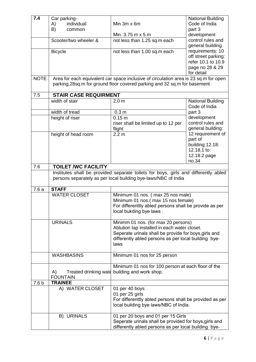| 7.4              | Car parking-                 |                                                                                      | <b>National Building</b> |  |  |
|------------------|------------------------------|--------------------------------------------------------------------------------------|--------------------------|--|--|
|                  | individual<br>A)             | Min $3m \times 6m$                                                                   | Code of India            |  |  |
|                  | B)<br>common                 |                                                                                      | part 3                   |  |  |
|                  |                              | Min. 3.75 m x 5.m                                                                    | development              |  |  |
|                  | Scooter/two wheeler &        | not less than 1.25 sq.m each                                                         | control rules and        |  |  |
|                  |                              |                                                                                      | general building         |  |  |
|                  | <b>Bicycle</b>               | not less than 1.00 sq.m each                                                         | requirements: 10         |  |  |
|                  |                              |                                                                                      | off street parking:      |  |  |
|                  |                              |                                                                                      | refer 10.1 to 10.9       |  |  |
|                  |                              |                                                                                      | page no 28 & 29          |  |  |
|                  |                              |                                                                                      | for detail               |  |  |
| <b>NOTE</b>      |                              | Area for each equivalent car space inclusive of circulation area is 23 sq.m for open |                          |  |  |
|                  |                              | parking, 28sq.m for ground floor covered parking and 32 sq.m for basement            |                          |  |  |
|                  |                              |                                                                                      |                          |  |  |
| 7.5              | <b>STAIR CASE REQUIRMENT</b> |                                                                                      |                          |  |  |
|                  | width of stair               | 2.0 <sub>m</sub>                                                                     | <b>National Building</b> |  |  |
|                  |                              |                                                                                      | Code of India            |  |  |
|                  | width of tread               | 0.3 <sub>m</sub>                                                                     | part 3                   |  |  |
|                  | height of riser              | 0.15 m                                                                               | development              |  |  |
|                  |                              | riser shall be limited up to 12 per                                                  | control rules and        |  |  |
|                  |                              | flight                                                                               | general building:        |  |  |
|                  | height of head room          | 2.2 <sub>m</sub>                                                                     | 12 requirement of        |  |  |
|                  |                              |                                                                                      | part of                  |  |  |
|                  |                              |                                                                                      | building:12.18:          |  |  |
|                  |                              |                                                                                      | 12.18.1 to               |  |  |
|                  |                              |                                                                                      | 12.18.2 page             |  |  |
|                  |                              |                                                                                      | no.34                    |  |  |
| 7.6              | <b>TOILET /WC FACILITY</b>   |                                                                                      |                          |  |  |
|                  |                              | Institutes shall be provided separate toilets for boys, girls and differently abled  |                          |  |  |
|                  |                              | persons separately as per local building bye-laws/NBC of India                       |                          |  |  |
|                  |                              |                                                                                      |                          |  |  |
| 7.6a             | <b>STAFF</b>                 |                                                                                      |                          |  |  |
|                  | <b>WATER CLOSET</b>          | Minimum 01 nos. (max 25 nos male)                                                    |                          |  |  |
|                  |                              | Minimum 01 nos.(max 15 nos female)                                                   |                          |  |  |
|                  |                              | For differenttly abled persons shall be provide as per                               |                          |  |  |
|                  |                              | local bukding bye laws.                                                              |                          |  |  |
|                  |                              |                                                                                      |                          |  |  |
|                  | <b>URINALS</b>               | Minimm 01 nos. (for max 20 persons)                                                  |                          |  |  |
|                  |                              | Ablution tap installed in each water closet.                                         |                          |  |  |
|                  |                              | Seperate urinals shall be provide for boys, girls and                                |                          |  |  |
|                  |                              | differently abled persons as per local building bye-<br>laws                         |                          |  |  |
|                  |                              |                                                                                      |                          |  |  |
|                  | <b>WASHBASINS</b>            | Minimum 01 nos for 25 person                                                         |                          |  |  |
|                  |                              |                                                                                      |                          |  |  |
|                  |                              | Minimum 01 nos for 100 person at each floor of the                                   |                          |  |  |
|                  | A)                           | Treated drinking wate building and work shop.                                        |                          |  |  |
|                  | <b>FOUNTAIN</b>              |                                                                                      |                          |  |  |
| 7.6 <sub>b</sub> | <b>TRAINEE</b>               |                                                                                      |                          |  |  |
|                  | A) WATER CLOSET              | 01 per 40 boys                                                                       |                          |  |  |
|                  |                              | 01 per 25 girls                                                                      |                          |  |  |
|                  |                              | For differenttly abled persons shall be provided as per                              |                          |  |  |
|                  |                              | local building bye laws/NBC of India.                                                |                          |  |  |
|                  |                              |                                                                                      |                          |  |  |
|                  | <b>B) URINALS</b>            | 01 per 20 boys and 01 per 15 Girls                                                   |                          |  |  |
|                  |                              | Seperate urinals shall be provided for boys, girls and                               |                          |  |  |
|                  |                              | differently abled persons as per local building bye-                                 |                          |  |  |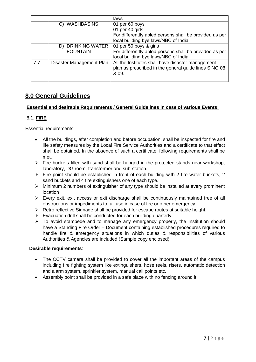|     |                          | laws                                                                                                                |
|-----|--------------------------|---------------------------------------------------------------------------------------------------------------------|
|     | C) WASHBASINS            | 01 per 60 boys                                                                                                      |
|     |                          | 01 per 40 girls                                                                                                     |
|     |                          | For differenttly abled persons shall be provided as per                                                             |
|     |                          | local building bye laws/NBC of India                                                                                |
|     | D) DRINKING WATER        | 01 per 50 boys & girls                                                                                              |
|     | <b>FOUNTAIN</b>          | For differenttly abled persons shall be provided as per<br>local building bye laws/NBC of India                     |
| 7.7 | Disaster Management Plan | All the Institutes shall have disaster management<br>plan as prescribed in the general guide lines S.NO 08<br>& 09. |

## **8.0 General Guidelines**

## **Essential and desirable Requirements / General Guidelines in case of various Events:**

## 8**.1. FIRE**

Essential requirements:

- All the buildings, after completion and before occupation, shall be inspected for fire and life safety measures by the Local Fire Service Authorities and a certificate to that effect shall be obtained. In the absence of such a certificate, following requirements shall be met.
- $\triangleright$  Fire buckets filled with sand shall be hanged in the protected stands near workshop, laboratory, DG room, transformer and sub-station.
- $\triangleright$  Fire point should be established in front of each building with 2 fire water buckets, 2 sand buckets and 4 fire extinguishers one of each type.
- $\triangleright$  Minimum 2 numbers of extinguisher of any type should be installed at every prominent location
- $\triangleright$  Every exit, exit access or exit discharge shall be continuously maintained free of all obstructions or impediments to full use in case of fire or other emergency.
- $\triangleright$  Retro reflective Signage shall be provided for escape routes at suitable height.
- $\triangleright$  Evacuation drill shall be conducted for each building quarterly.
- $\triangleright$  To avoid stampede and to manage any emergency properly, the Institution should have a Standing Fire Order – Document containing established procedures required to handle fire & emergency situations in which duties & responsibilities of various Authorities & Agencies are included (Sample copy enclosed).

## **Desirable requirements**:

- The CCTV camera shall be provided to cover all the important areas of the campus including fire fighting system like extinguishers, hose reels, risers, automatic detection and alarm system, sprinkler system, manual call points etc.
- Assembly point shall be provided in a safe place with no fencing around it.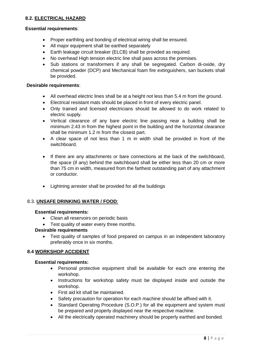## **8.2. ELECTRICAL HAZARD**

#### **Essential requirements**:

- Proper earthling and bonding of electrical wiring shall be ensured.
- All major equipment shall be earthed separately
- Earth leakage circuit breaker (ELCB) shall be provided as required.
- No overhead High tension electric line shall pass across the premises.
- Sub stations or transformers if any shall be segregated. Carbon di-oxide, dry chemical powder (DCP) and Mechanical foam fire extinguishers, san buckets shall be provided.

#### **Desirable requirements**:

- All overhead electric lines shall be at a height not less than 5.4 m from the ground.
- Electrical resistant mats should be placed in front of every electric panel.
- Only trained and licensed electricians should be allowed to do work related to electric supply.
- Vertical clearance of any bare electric line passing near a building shall be minimum 2.43 m from the highest point in the building and the horizontal clearance shall be minimum 1.2 m from the closest part.
- A clear space of not less than 1 m in width shall be provided in front of the switchboard.
- If there are any attachments or bare connections at the back of the switchboard, the space (if any) behind the switchboard shall be either less than 20 cm or more than 75 cm in width, measured from the farthest outstanding part of any attachment or conductor.
- Lightning arrester shall be provided for all the buildings

## 8.3. **UNSAFE DRINKING WATER / FOOD**:

## **Essential requirements:**

- Clean all reservoirs on periodic basis
- Test quality of water every three months.

## **Desirable requirements**

 Test quality of samples of food prepared on campus in an independent laboratory preferably once in six months.

## **8.4 WORKSHOP ACCIDENT**

#### **Essential requirements:**

- Personal protective equipment shall be available for each one entering the workshop.
- Instructions for workshop safety must be displayed inside and outside the workshop.
- First aid kit shall be maintained.
- Safety precaution for operation for each machine should be affixed with it.
- Standard Operating Procedure (S.O.P.) for all the equipment and system must be prepared and properly displayed near the respective machine.
- All the electrically operated machinery should be properly earthed and bonded.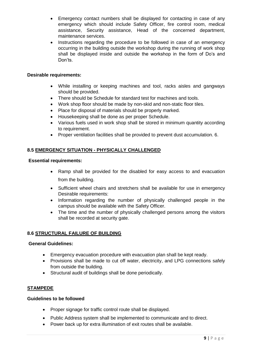- Emergency contact numbers shall be displayed for contacting in case of any emergency which should include Safety Officer, fire control room, medical assistance, Security assistance, Head of the concerned department, maintenance services.
- Instructions regarding the procedure to be followed in case of an emergency occurring in the building outside the workshop during the running of work shop shall be displayed inside and outside the workshop in the form of Do's and Don'ts.

## **Desirable requirements:**

- While installing or keeping machines and tool, racks aisles and gangways should be provided.
- There should be Schedule for standard test for machines and tools.
- Work shop floor should be made by non-skid and non-static floor tiles.
- Place for disposal of materials should be properly marked.
- Housekeeping shall be done as per proper Schedule.
- Various fuels used in work shop shall be stored in minimum quantity according to requirement.
- Proper ventilation facilities shall be provided to prevent dust accumulation. 6.

## **8.5 EMERGENCY SITUATION - PHYSICALLY CHALLENGED**

#### **Essential requirements:**

- Ramp shall be provided for the disabled for easy access to and evacuation from the building.
- Sufficient wheel chairs and stretchers shall be available for use in emergency Desirable requirements:
- Information regarding the number of physically challenged people in the campus should be available with the Safety Officer.
- The time and the number of physically challenged persons among the visitors shall be recorded at security gate.

## **8.6 STRUCTURAL FAILURE OF BUILDING**

#### **General Guidelines:**

- Emergency evacuation procedure with evacuation plan shall be kept ready.
- Provisions shall be made to cut off water, electricity, and LPG connections safely from outside the building.
- Structural audit of buildings shall be done periodically.

## **STAMPEDE**

#### **Guidelines to be followed**

- Proper signage for traffic control route shall be displayed.
- Public Address system shall be implemented to communicate and to direct.
- Power back up for extra illumination of exit routes shall be available.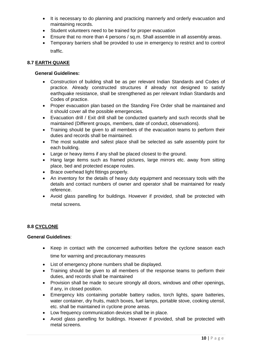- It is necessary to do planning and practicing mannerly and orderly evacuation and maintaining records.
- Student volunteers need to be trained for proper evacuation
- Ensure that no more than 4 persons / sq.m. Shall assemble in all assembly areas.
- Temporary barriers shall be provided to use in emergency to restrict and to control traffic.

## **8.7 EARTH QUAKE**

## **General Guidelines:**

- Construction of building shall be as per relevant Indian Standards and Codes of practice. Already constructed structures if already not designed to satisfy earthquake resistance, shall be strengthened as per relevant Indian Standards and Codes of practice.
- Proper evacuation plan based on the Standing Fire Order shall be maintained and it should cover all the possible emergencies.
- Evacuation drill / Exit drill shall be conducted quarterly and such records shall be maintained (Different groups, members, date of conduct, observations).
- Training should be given to all members of the evacuation teams to perform their duties and records shall be maintained.
- The most suitable and safest place shall be selected as safe assembly point for each building.
- Large or heavy items if any shall be placed closest to the ground.
- Hang large items such as framed pictures, large mirrors etc. away from sitting place, bed and protected escape routes.
- Brace overhead light fittings properly.
- An inventory for the details of heavy duty equipment and necessary tools with the details and contact numbers of owner and operator shall be maintained for ready reference.
- Avoid glass panelling for buildings. However if provided, shall be protected with metal screens.

## **8.8 CYCLONE**

## **General Guidelines**:

- Keep in contact with the concerned authorities before the cyclone season each time for warning and precautionary measures
- List of emergency phone numbers shall be displayed.
- Training should be given to all members of the response teams to perform their duties, and records shall be maintained
- Provision shall be made to secure strongly all doors, windows and other openings, if any, in closed position.
- Emergency kits containing portable battery radios, torch lights, spare batteries, water container, dry fruits, match boxes, fuel lamps, portable stove, cooking utensil, etc. shall be maintained in cyclone prone areas.
- Low frequency communication devices shall be in place.
- Avoid glass panelling for buildings. However if provided, shall be protected with metal screens.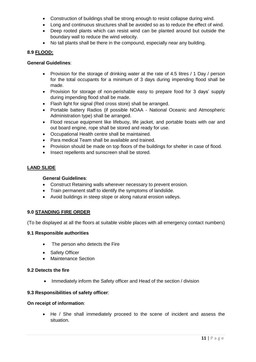- Construction of buildings shall be strong enough to resist collapse during wind.
- Long and continuous structures shall be avoided so as to reduce the effect of wind.
- Deep rooted plants which can resist wind can be planted around but outside the boundary wall to reduce the wind velocity.
- No tall plants shall be there in the compound, especially near any building.

## **8.9 FLOOD:**

#### **General Guidelines**:

- Provision for the storage of drinking water at the rate of 4.5 litres / 1 Day / person for the total occupants for a minimum of 3 days during impending flood shall be made.
- Provision for storage of non-perishable easy to prepare food for 3 days' supply during impending flood shall be made.
- Flash light for signal (Red cross store) shall be arranged.
- Portable battery Radios (if possible NOAA National Oceanic and Atmospheric Administration type) shall be arranged.
- Flood rescue equipment like lifebuoy, life jacket, and portable boats with oar and out board engine, rope shall be stored and ready for use.
- Occupational Health centre shall be maintained.
- Para medical Team shall be available and trained.
- Provision should be made on top floors of the buildings for shelter in case of flood.
- Insect repellents and sunscreen shall be stored.

## **LAND SLIDE**

## **General Guidelines**:

- Construct Retaining walls wherever necessary to prevent erosion.
- Train permanent staff to identify the symptoms of landslide.
- Avoid buildings in steep slope or along natural erosion valleys.

## **9.0 STANDING FIRE ORDER**

(To be displayed at all the floors at suitable visible places with all emergency contact numbers)

## **9.1 Responsible authorities**

- The person who detects the Fire
- Safety Officer
- Maintenance Section

## **9.2 Detects the fire**

• Immediately inform the Safety officer and Head of the section / division

## **9.3 Responsibilities of safety officer**:

#### **On receipt of information**:

 He / She shall immediately proceed to the scene of incident and assess the situation.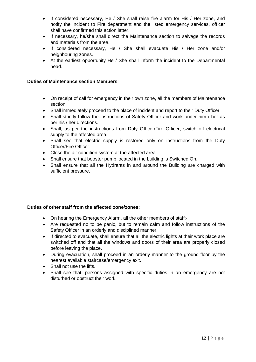- If considered necessary, He / She shall raise fire alarm for His / Her zone, and notify the incident to Fire department and the listed emergency services, officer shall have confirmed this action latter.
- If necessary, he/she shall direct the Maintenance section to salvage the records and materials from the area.
- If considered necessary, He / She shall evacuate His / Her zone and/or neighbouring zones.
- At the earliest opportunity He / She shall inform the incident to the Departmental head.

## **Duties of Maintenance section Members**:

- On receipt of call for emergency in their own zone, all the members of Maintenance section;
- Shall immediately proceed to the place of incident and report to their Duty Officer.
- Shall strictly follow the instructions of Safety Officer and work under him / her as per his / her directions.
- Shall, as per the instructions from Duty Officer/Fire Officer, switch off electrical supply to the affected area.
- Shall see that electric supply is restored only on instructions from the Duty Officer/Fire Officer.
- Close the air condition system at the affected area.
- Shall ensure that booster pump located in the building is Switched On.
- Shall ensure that all the Hydrants in and around the Building are charged with sufficient pressure.

## **Duties of other staff from the affected zone/zones:**

- On hearing the Emergency Alarm, all the other members of staff:-
- Are requested no to be panic, but to remain calm and follow instructions of the Safety Officer in an orderly and disciplined manner.
- If directed to evacuate, shall ensure that all the electric lights at their work place are switched off and that all the windows and doors of their area are properly closed before leaving the place.
- During evacuation, shall proceed in an orderly manner to the ground floor by the nearest available staircase/emergency exit.
- Shall not use the lifts.
- Shall see that, persons assigned with specific duties in an emergency are not disturbed or obstruct their work.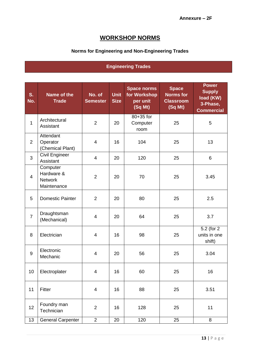# **WORKSHOP NORMS**

## **Norms for Engineering and Non-Engineering Trades**

## **Engineering Trades**

| S.<br>No.      | Name of the<br><b>Trade</b>                             | No. of<br><b>Semester</b> | <b>Unit</b><br><b>Size</b> | <b>Space norms</b><br>for Workshop<br>per unit<br>(Sq Mt) | <b>Space</b><br><b>Norms for</b><br><b>Classroom</b><br>(Sq Mt) | <b>Power</b><br><b>Supply</b><br>load (KW)<br>3-Phase,<br><b>Commercial</b> |
|----------------|---------------------------------------------------------|---------------------------|----------------------------|-----------------------------------------------------------|-----------------------------------------------------------------|-----------------------------------------------------------------------------|
| $\mathbf{1}$   | Architectural<br>Assistant                              | $\overline{2}$            | 20                         | 80+35 for<br>Computer<br>room                             | 25                                                              | 5                                                                           |
| $\overline{2}$ | Attendant<br>Operator<br>(Chemical Plant)               | $\overline{\mathbf{4}}$   | 16                         | 104                                                       | 25                                                              | 13                                                                          |
| 3              | Civil Engineer<br>Assistant                             | 4                         | 20                         | 120                                                       | 25                                                              | 6                                                                           |
| $\overline{4}$ | Computer<br>Hardware &<br><b>Network</b><br>Maintenance | $\overline{2}$            | 20                         | 70                                                        | 25                                                              | 3.45                                                                        |
| 5              | <b>Domestic Painter</b>                                 | $\overline{2}$            | 20                         | 80                                                        | 25                                                              | 2.5                                                                         |
| $\overline{7}$ | Draughtsman<br>(Mechanical)                             | 4                         | 20                         | 64                                                        | 25                                                              | 3.7                                                                         |
| 8              | Electrician                                             | 4                         | 16                         | 98                                                        | 25                                                              | 5.2 (for 2)<br>units in one<br>shift)                                       |
| 9              | Electronic<br>Mechanic                                  | 4                         | 20                         | 56                                                        | 25                                                              | 3.04                                                                        |
| 10             | Electroplater                                           | 4                         | 16                         | 60                                                        | 25                                                              | 16                                                                          |
| 11             | Fitter                                                  | 4                         | 16                         | 88                                                        | 25                                                              | 3.51                                                                        |
| 12             | Foundry man<br>Technician                               | $\overline{2}$            | 16                         | 128                                                       | 25                                                              | 11                                                                          |
| 13             | <b>General Carpenter</b>                                | $\overline{2}$            | $20\,$                     | 120                                                       | 25                                                              | 8                                                                           |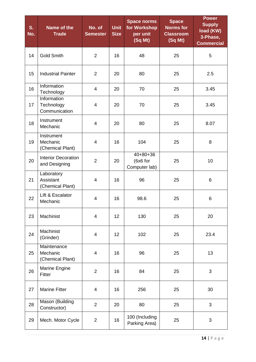| S.<br>No. | Name of the<br><b>Trade</b>                       | No. of<br><b>Semester</b> | <b>Unit</b><br><b>Size</b> | <b>Space norms</b><br>for Workshop<br>per unit<br>(Sq Mt) | <b>Space</b><br><b>Norms for</b><br><b>Classroom</b><br>(Sq Mt) | <b>Power</b><br><b>Supply</b><br>load (KW)<br>3-Phase,<br><b>Commercial</b> |
|-----------|---------------------------------------------------|---------------------------|----------------------------|-----------------------------------------------------------|-----------------------------------------------------------------|-----------------------------------------------------------------------------|
| 14        | <b>Gold Smith</b>                                 | $\overline{2}$            | 16                         | 48                                                        | 25                                                              | 5                                                                           |
| 15        | <b>Industrial Painter</b>                         | $\overline{2}$            | 20                         | 80                                                        | 25                                                              | 2.5                                                                         |
| 16        | Information<br>Technology                         | 4                         | 20                         | 70                                                        | 25                                                              | 3.45                                                                        |
| 17        | <b>Information</b><br>Technology<br>Communication | 4                         | 20                         | 70                                                        | 25                                                              | 3.45                                                                        |
| 18        | Instrument<br>Mechanic                            | 4                         | 20                         | 80                                                        | 25                                                              | 8.07                                                                        |
| 19        | Instrument<br>Mechanic<br>(Chemical Plant)        | 4                         | 16                         | 104                                                       | 25                                                              | 8                                                                           |
| 20        | <b>Interior Decoration</b><br>and Designing       | $\overline{2}$            | 20                         | $40+80+36$<br>(6x6 for<br>Computer lab)                   | 25                                                              | 10                                                                          |
| 21        | Laboratory<br>Assistant<br>(Chemical Plant)       | 4                         | 16                         | 96                                                        | 25                                                              | 6                                                                           |
| 22        | Lift & Escalator<br>Mechanic                      | 4                         | 16                         | 98.6                                                      | 25                                                              | 6                                                                           |
| 23        | Machinist                                         | 4                         | 12                         | 130                                                       | 25                                                              | 20                                                                          |
| 24        | Machinist<br>(Grinder)                            | 4                         | 12                         | 102                                                       | 25                                                              | 23.4                                                                        |
| 25        | Maintenance<br>Mechanic<br>(Chemical Plant)       | 4                         | 16                         | 96                                                        | 25                                                              | 13                                                                          |
| 26        | Marine Engine<br>Fitter                           | $\overline{2}$            | 16                         | 84                                                        | 25                                                              | 3                                                                           |
| 27        | <b>Marine Fitter</b>                              | 4                         | 16                         | 256                                                       | 25                                                              | 30                                                                          |
| 28        | Mason (Building<br>Constructor)                   | $\overline{2}$            | 20                         | 80                                                        | 25                                                              | 3                                                                           |
| 29        | Mech. Motor Cycle                                 | $\overline{2}$            | 16                         | 100 (Including<br>Parking Area)                           | 25                                                              | 3                                                                           |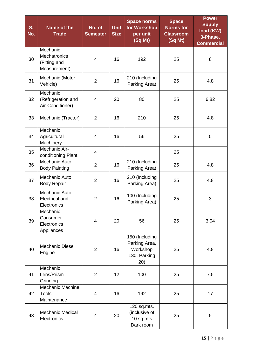| S.<br>No. | Name of the<br><b>Trade</b>                              | No. of<br><b>Semester</b> | <b>Unit</b><br><b>Size</b> | <b>Space norms</b><br>for Workshop<br>per unit<br>(Sq Mt)           | <b>Space</b><br><b>Norms for</b><br><b>Classroom</b><br>(Sq Mt) | <b>Power</b><br><b>Supply</b><br>load (KW)<br>3-Phase,<br><b>Commercial</b> |
|-----------|----------------------------------------------------------|---------------------------|----------------------------|---------------------------------------------------------------------|-----------------------------------------------------------------|-----------------------------------------------------------------------------|
| 30        | Mechanic<br>Mechatronics<br>(Fitting and<br>Measurement) | $\overline{4}$            | 16                         | 192                                                                 | 25                                                              | 8                                                                           |
| 31        | Mechanic (Motor<br>Vehicle)                              | $\overline{2}$            | 16                         | 210 (Including<br>Parking Area)                                     | 25                                                              | 4.8                                                                         |
| 32        | Mechanic<br>(Refrigeration and<br>Air-Conditioner)       | 4                         | 20                         | 80                                                                  | 25                                                              | 6.82                                                                        |
| 33        | Mechanic (Tractor)                                       | $\overline{2}$            | 16                         | 210                                                                 | 25                                                              | 4.8                                                                         |
| 34        | Mechanic<br>Agricultural<br>Machinery                    | 4                         | 16                         | 56                                                                  | 25                                                              | 5                                                                           |
| 35        | Mechanic Air-<br>conditioning Plant                      | $\overline{\mathbf{4}}$   |                            |                                                                     | 25                                                              |                                                                             |
| 36        | Mechanic Auto<br><b>Body Painting</b>                    | $\overline{2}$            | 16                         | 210 (Including<br>Parking Area)                                     | 25                                                              | 4.8                                                                         |
| 37        | Mechanic Auto<br><b>Body Repair</b>                      | $\overline{2}$            | 16                         | 210 (Including<br>Parking Area)                                     | 25                                                              | 4.8                                                                         |
| 38        | Mechanic Auto<br><b>Electrical and</b><br>Electronics    | $\overline{2}$            | 16                         | 100 (Including<br>Parking Area)                                     | 25                                                              | 3                                                                           |
| 39        | Mechanic<br>Consumer<br>Electronics<br>Appliances        | 4                         | 20                         | 56                                                                  | 25                                                              | 3.04                                                                        |
| 40        | Mechanic Diesel<br>Engine                                | $\overline{2}$            | 16                         | 150 (Including<br>Parking Area,<br>Workshop<br>130, Parking<br>(20) | 25                                                              | 4.8                                                                         |
| 41        | Mechanic<br>Lens/Prism<br>Grinding                       | $\overline{2}$            | 12                         | 100                                                                 | 25                                                              | 7.5                                                                         |
| 42        | <b>Mechanic Machine</b><br><b>Tools</b><br>Maintenance   | 4                         | 16                         | 192                                                                 | 25                                                              | 17                                                                          |
| 43        | <b>Mechanic Medical</b><br>Electronics                   | 4                         | 20                         | 120 sq.mts.<br>(inclusive of<br>10 sq.mts<br>Dark room              | 25                                                              | 5                                                                           |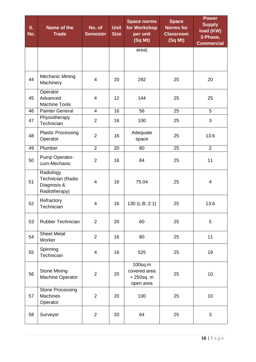| S.<br>No. | Name of the<br><b>Trade</b>                                    | No. of<br><b>Semester</b> | <b>Unit</b><br><b>Size</b> | <b>Space norms</b><br>for Workshop<br>per unit<br>(Sq Mt) | <b>Space</b><br><b>Norms for</b><br><b>Classroom</b><br>(Sq Mt) | <b>Power</b><br><b>Supply</b><br>load (KW)<br>3-Phase,<br><b>Commercial</b> |
|-----------|----------------------------------------------------------------|---------------------------|----------------------------|-----------------------------------------------------------|-----------------------------------------------------------------|-----------------------------------------------------------------------------|
|           |                                                                |                           |                            | area)                                                     |                                                                 |                                                                             |
| 44        | <b>Mechanic Mining</b><br>Machinery                            | 4                         | 20                         | 292                                                       | 25                                                              | 20                                                                          |
| 45        | Operator<br>Advanced<br><b>Machine Tools</b>                   | 4                         | 12                         | 144                                                       | 25                                                              | 25                                                                          |
| 46        | <b>Painter General</b>                                         | $\overline{4}$            | 16                         | 56                                                        | 25                                                              | 5                                                                           |
| 47        | Physiotherapy<br>Technician                                    | $\overline{2}$            | 16                         | 100                                                       | 25                                                              | 3                                                                           |
| 48        | <b>Plastic Processing</b><br>Operator                          | $\overline{2}$            | 16                         | Adequate<br>space                                         | 25                                                              | 13.6                                                                        |
| 49        | Plumber                                                        | $\overline{2}$            | 20                         | 80                                                        | 25                                                              | $\overline{2}$                                                              |
| 50        | Pump Operator-<br>cum-Mechanic                                 | $\overline{2}$            | 16                         | 84                                                        | 25                                                              | 11                                                                          |
| 51        | Radiology<br>Technician (Radio<br>Diagnosis &<br>Radiotherapy) | 4                         | 16                         | 75.04                                                     | 25                                                              | 4                                                                           |
| 52        | Refractory<br>Technician                                       | $\overline{\mathcal{A}}$  | 16                         | 130 (L:B::2:1)                                            | 25                                                              | 13.6                                                                        |
| 53        | Rubber Technician                                              | $\overline{2}$            | 20                         | 60                                                        | 25                                                              | 5                                                                           |
| 54        | <b>Sheet Metal</b><br>Worker                                   | $\overline{2}$            | 16                         | 80                                                        | 25                                                              | 11                                                                          |
| 55        | Spinning<br>Technician                                         | 4                         | 16                         | 525                                                       | 25                                                              | 19                                                                          |
| 56        | <b>Stone Mining</b><br>Machine Operator                        | $\overline{2}$            | 20                         | $100$ sq.m<br>covered area<br>+ 250sq. m<br>open area     | 25                                                              | 10                                                                          |
| 57        | <b>Stone Processing</b><br><b>Machines</b><br>Operator         | $\overline{2}$            | 20                         | 100                                                       | 25                                                              | 10                                                                          |
| 58        | Surveyor                                                       | $\overline{2}$            | 20                         | 64                                                        | 25                                                              | 3                                                                           |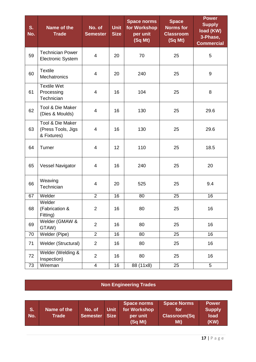| S.<br>No. | Name of the<br><b>Trade</b>                           | No. of<br><b>Semester</b> | <b>Unit</b><br><b>Size</b> | <b>Space norms</b><br>for Workshop<br>per unit<br>(Sq Mt) | <b>Space</b><br><b>Norms for</b><br><b>Classroom</b><br>(Sq Mt) | <b>Power</b><br><b>Supply</b><br>load (KW)<br>3-Phase,<br><b>Commercial</b> |
|-----------|-------------------------------------------------------|---------------------------|----------------------------|-----------------------------------------------------------|-----------------------------------------------------------------|-----------------------------------------------------------------------------|
| 59        | <b>Technician Power</b><br><b>Electronic System</b>   | 4                         | 20                         | 70                                                        | 25                                                              | 5                                                                           |
| 60        | <b>Textile</b><br><b>Mechatronics</b>                 | $\overline{\mathcal{A}}$  | 20                         | 240                                                       | 25                                                              | $\boldsymbol{9}$                                                            |
| 61        | <b>Textile Wet</b><br>Processing<br>Technician        | 4                         | 16                         | 104                                                       | 25                                                              | 8                                                                           |
| 62        | Tool & Die Maker<br>(Dies & Moulds)                   | $\overline{\mathbf{4}}$   | 16                         | 130                                                       | 25                                                              | 29.6                                                                        |
| 63        | Tool & Die Maker<br>(Press Tools, Jigs<br>& Fixtures) | 4                         | 16                         | 130                                                       | 25                                                              | 29.6                                                                        |
| 64        | Turner                                                | 4                         | 12                         | 110                                                       | 25                                                              | 18.5                                                                        |
| 65        | <b>Vessel Navigator</b>                               | 4                         | 16                         | 240                                                       | 25                                                              | 20                                                                          |
| 66        | Weaving<br>Technician                                 | 4                         | 20                         | 525                                                       | 25                                                              | 9.4                                                                         |
| 67        | Welder                                                | $\overline{2}$            | 16                         | 80                                                        | 25                                                              | 16                                                                          |
| 68        | Welder<br>(Fabrication &<br>Fitting)                  | $\overline{c}$            | 16                         | $80\,$                                                    | 25                                                              | 16                                                                          |
| 69        | Welder (GMAW &<br>GTAW)                               | $\overline{2}$            | 16                         | 80                                                        | 25                                                              | 16                                                                          |
| 70        | Welder (Pipe)                                         | $\overline{2}$            | 16                         | 80                                                        | 25                                                              | 16                                                                          |
| 71        | Welder (Structural)                                   | $\overline{2}$            | 16                         | 80                                                        | 25                                                              | 16                                                                          |
| 72        | Welder (Welding &<br>Inspection)                      | $\overline{2}$            | 16                         | 80                                                        | 25                                                              | 16                                                                          |
| 73        | Wireman                                               | $\overline{4}$            | 16                         | 88 (11x8)                                                 | 25                                                              | 5                                                                           |

**Non Engineering Trades**

| S.<br>No. | Name of the<br>Trade | No. of<br>Semester Size | <b>Unit</b> | Space norms<br>for Workshop<br>per unit<br>(Sq Mt) | <b>Space Norms</b><br>tor<br><b>Classroom(Sq</b><br>Mt) | Power<br><b>Supply</b><br>load<br>(KW) |
|-----------|----------------------|-------------------------|-------------|----------------------------------------------------|---------------------------------------------------------|----------------------------------------|
|-----------|----------------------|-------------------------|-------------|----------------------------------------------------|---------------------------------------------------------|----------------------------------------|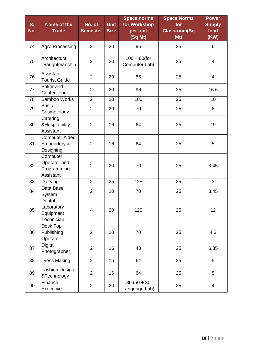| S.<br>No. | Name of the<br><b>Trade</b>                          | No. of<br><b>Semester</b> | <b>Unit</b><br><b>Size</b> | <b>Space norms</b><br>for Workshop<br>per unit | <b>Space Norms</b><br>for<br><b>Classroom(Sq</b> | <b>Power</b><br><b>Supply</b><br>load |
|-----------|------------------------------------------------------|---------------------------|----------------------------|------------------------------------------------|--------------------------------------------------|---------------------------------------|
|           |                                                      |                           |                            | (Sq Mt)                                        | Mt)                                              | (KW)                                  |
| 74        | Agro Processing                                      | $\overline{2}$            | 20                         | 96                                             | 25                                               | 6                                     |
| 75        | Architectural<br>Draughtmanship                      | $\overline{2}$            | 20                         | $100 + 80$ (for<br>Computer Lab)               | 25                                               | $\overline{4}$                        |
| 76        | Assistant<br><b>Tourist Guide</b>                    | $\overline{2}$            | 20                         | 56                                             | 25                                               | 4                                     |
| 77        | Baker and<br>Confectioner                            | $\overline{2}$            | 20                         | 96                                             | 25                                               | 16.6                                  |
| 78        | Bamboo Works                                         | $\overline{2}$            | 20                         | 100                                            | 25                                               | 10                                    |
| 79        | <b>Basic</b><br>Cosmetology                          | $\overline{2}$            | 20                         | 70                                             | 25                                               | 6                                     |
| 80        | Catering<br>&Hospitability<br>Assistant              | $\overline{2}$            | 16                         | 64                                             | 25                                               | 19                                    |
| 81        | <b>Computer Aided</b><br>Embroidery &<br>Designing   | $\overline{2}$            | 16                         | 64                                             | 25                                               | 5                                     |
| 82        | Computer<br>Operator and<br>Programming<br>Assistant | $\overline{2}$            | 20                         | 70                                             | 25                                               | 3.45                                  |
| 83        | Dairying                                             | $\overline{2}$            | 25                         | 125                                            | 25                                               | 3                                     |
| 84        | Data Base<br>System                                  | $\overline{2}$            | 20                         | 70                                             | 25                                               | 3.45                                  |
| 85        | Dental<br>Laboratory<br>Equipment<br>Technician      | $\overline{4}$            | 20                         | 120                                            | 25                                               | 12                                    |
| 86        | Desk Top<br>Publishing<br>Operator                   | $\overline{2}$            | 20                         | 70                                             | 25                                               | 4.3                                   |
| 87        | <b>Digital</b><br>Photographer                       | $\overline{2}$            | 16                         | 48                                             | 25                                               | 6.35                                  |
| 88        | <b>Dress Making</b>                                  | $\overline{2}$            | 16                         | 64                                             | 25                                               | 5                                     |
| 89        | Fashion Design<br>&Technology                        | $\overline{2}$            | 16                         | 64                                             | 25                                               | 5                                     |
| 90        | Finance<br>Executive                                 | $\overline{2}$            | 20                         | $80(50 + 30)$<br>Language Lab)                 | 25                                               | $\overline{4}$                        |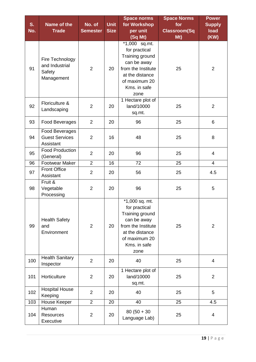|     |                                                           |                 |             | <b>Space norms</b>                                                                                                                                             | <b>Space Norms</b>  | <b>Power</b>            |
|-----|-----------------------------------------------------------|-----------------|-------------|----------------------------------------------------------------------------------------------------------------------------------------------------------------|---------------------|-------------------------|
| S.  | Name of the                                               | No. of          | <b>Unit</b> | for Workshop                                                                                                                                                   | for                 | <b>Supply</b>           |
| No. | <b>Trade</b>                                              | <b>Semester</b> | <b>Size</b> | per unit                                                                                                                                                       | <b>Classroom(Sq</b> | load                    |
|     |                                                           |                 |             | (Sq Mt)                                                                                                                                                        | Mt)                 | (KW)                    |
| 91  | Fire Technology<br>and Industrial<br>Safety<br>Management | $\overline{2}$  | 20          | $\overline{1,000}$ sq.mt.<br>for practical<br>Training ground<br>can be away<br>from the Institute<br>at the distance<br>of maximum 20<br>Kms. in safe<br>zone | 25                  | $\overline{2}$          |
| 92  | Floriculture &<br>Landscaping                             | $\overline{2}$  | 20          | 1 Hectare plot of<br>land/10000<br>sq.mt.                                                                                                                      | 25                  | $\overline{2}$          |
| 93  | Food Beverages                                            | $\overline{2}$  | 20          | 96                                                                                                                                                             | 25                  | 6                       |
| 94  | Food Beverages<br><b>Guest Services</b><br>Assistant      | $\overline{2}$  | 16          | 48                                                                                                                                                             | 25                  | 8                       |
| 95  | <b>Food Production</b><br>(General)                       | $\overline{2}$  | 20          | 96                                                                                                                                                             | 25                  | 4                       |
| 96  | <b>Footwear Maker</b>                                     | $\overline{2}$  | 16          | 72                                                                                                                                                             | 25                  | 4                       |
| 97  | <b>Front Office</b><br>Assistant                          | $\overline{2}$  | 20          | 56                                                                                                                                                             | 25                  | 4.5                     |
| 98  | Fruit &<br>Vegetable<br>Processing                        | $\overline{2}$  | 20          | 96                                                                                                                                                             | 25                  | 5                       |
| 99  | <b>Health Safety</b><br>and<br>Environment                | $\overline{2}$  | 20          | *1,000 sq. mt.<br>for practical<br>Training ground<br>can be away<br>from the Institute<br>at the distance<br>of maximum 20<br>Kms. in safe<br>zone            | 25                  | $\overline{2}$          |
| 100 | <b>Health Sanitary</b><br>Inspector                       | $\overline{2}$  | 20          | 40                                                                                                                                                             | 25                  | $\overline{4}$          |
| 101 | Horticulture                                              | $\overline{2}$  | 20          | 1 Hectare plot of<br>land/10000<br>sq.mt.                                                                                                                      | 25                  | $\overline{2}$          |
| 102 | <b>Hospital House</b><br>Keeping                          | $\overline{2}$  | 20          | 40                                                                                                                                                             | 25                  | 5                       |
| 103 | House Keeper                                              | $\overline{2}$  | 20          | 40                                                                                                                                                             | 25                  | 4.5                     |
| 104 | Human<br><b>Resources</b><br><b>Executive</b>             | $\overline{2}$  | 20          | $80(50 + 30)$<br>Language Lab)                                                                                                                                 | 25                  | $\overline{\mathbf{4}}$ |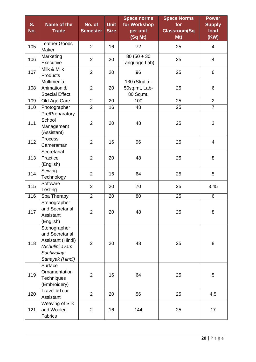|     |                         |                 |             | <b>Space norms</b> | <b>Space Norms</b>  | <b>Power</b>   |
|-----|-------------------------|-----------------|-------------|--------------------|---------------------|----------------|
| S.  | Name of the             | No. of          | <b>Unit</b> | for Workshop       | for                 | <b>Supply</b>  |
| No. | <b>Trade</b>            | <b>Semester</b> | <b>Size</b> | per unit           | <b>Classroom(Sq</b> | load           |
|     |                         |                 |             | (Sq Mt)            | Mt)                 | (KW)           |
|     | <b>Leather Goods</b>    |                 |             |                    |                     |                |
| 105 | Maker                   | $\overline{2}$  | 16          | 72                 | 25                  | 4              |
|     | Marketing               |                 |             | $80(50 + 30)$      |                     |                |
| 106 | Executive               | $\overline{2}$  | 20          | Language Lab)      | 25                  | $\overline{4}$ |
|     | Milk & Milk             |                 |             |                    |                     |                |
| 107 | Products                | $\overline{2}$  | 20          | 96                 | 25                  | 6              |
|     | Multimedia              |                 |             | 130 (Studio -      |                     |                |
| 108 | Animation &             | $\overline{2}$  | 20          | 50sq.mt, Lab-      | 25                  | 6              |
|     | <b>Special Effect</b>   |                 |             | 80 Sq.mt.          |                     |                |
| 109 | Old Age Care            | $\overline{2}$  | 20          | 100                | 25                  | $\overline{2}$ |
| 110 | Photographer            | $\overline{2}$  | 16          | 48                 | 25                  | $\overline{7}$ |
|     | Pre/Preparatory         |                 |             |                    |                     |                |
| 111 | School                  |                 |             |                    |                     |                |
|     | Management              | $\overline{2}$  | 20          | 48                 | 25                  | 3              |
|     | (Assistant)             |                 |             |                    |                     |                |
| 112 | Process                 | $\overline{2}$  |             |                    |                     | $\overline{4}$ |
|     | Cameraman               |                 | 16          | 96                 | 25                  |                |
|     | Secretarial             |                 |             |                    |                     |                |
| 113 | Practice                | $\overline{2}$  | 20          | 48                 | 25                  | 8              |
|     | (English)               |                 |             |                    |                     |                |
| 114 | Sewing                  | $\overline{2}$  | 16          | 64                 | 25                  | 5              |
|     | Technology              |                 |             |                    |                     |                |
| 115 | Software                | $\overline{2}$  | 20          | 70                 | 25                  | 3.45           |
|     | <b>Testing</b>          |                 |             |                    |                     |                |
| 116 | Spa Therapy             | $\overline{2}$  | 20          | 80                 | 25                  | 6              |
|     | Stenographer            |                 |             |                    |                     |                |
| 117 | and Secretarial         | $\overline{2}$  | 20          | 48                 | 25                  | 8              |
|     | Assistant               |                 |             |                    |                     |                |
|     | (English)               |                 |             |                    |                     |                |
|     | Stenographer            |                 |             |                    |                     |                |
|     | and Secretarial         |                 |             |                    |                     |                |
| 118 | Assistant (Hindi)       | $\overline{2}$  | 20          | 48                 | 25                  | 8              |
|     | (Ashulipi avam          |                 |             |                    |                     |                |
|     | Sachivalay              |                 |             |                    |                     |                |
|     | Sahayak (Hindi)         |                 |             |                    |                     |                |
|     | Surface                 |                 |             |                    |                     |                |
| 119 | Ornamentation           | $\overline{2}$  | 16          | 64                 | 25                  | 5              |
|     | Techniques              |                 |             |                    |                     |                |
|     | (Embroidery)            |                 |             |                    |                     |                |
| 120 | <b>Travel &amp;Tour</b> | $\overline{2}$  | 20          | 56                 | 25                  | 4.5            |
|     | Assistant               |                 |             |                    |                     |                |
|     | Weaving of Silk         |                 |             |                    |                     |                |
| 121 | and Woolen              | $\overline{2}$  | 16          | 144                | 25                  | 17             |
|     | Fabrics                 |                 |             |                    |                     |                |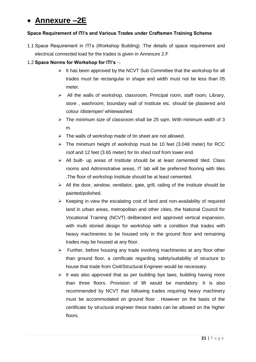# **Annexure –2E**

## **Space Requirement of ITI's and Various Trades under Craftsmen Training Scheme**

1.1 Space Requirement in ITI's (Workshop Building) :The details of space requirement and electrical connected load for the trades is given in Annexure 2.F

## 1.2 **Space Norms for Workshop for ITI's**

- $\triangleright$  It has been approved by the NCVT Sub Committee that the workshop for all trades must be rectangular in shape and width must not be less than 05 meter.
- $\triangleright$  All the walls of workshop, classroom, Principal room, staff room, Library, store , washroom, boundary wall of Institute etc. should be plastered and colour /distemper/ whitewashed.
- $\triangleright$  The minimum size of classroom shall be 25 sqm. With minimum width of 3 m.
- $\triangleright$  The walls of workshop made of tin sheet are not allowed.
- $\triangleright$  The minimum height of workshop must be 10 feet (3.048 meter) for RCC roof and 12 feet (3.65 meter) for tin shed roof from lower end.
- $\triangleright$  All built- up areas of Institute should be at least cemented/ tiled. Class rooms and Administrative areas, IT lab will be preferred flooring with tiles **.**The floor of workshop Institute should be at least cemented.
- $\triangleright$  All the door, window, ventilator, gate, grill, railing of the institute should be painted/polished.
- $\triangleright$  Keeping in view the escalating cost of land and non-availability of required land in urban areas, metropolitan and other cities, the National Council for Vocational Training (NCVT) deliberated and approved vertical expansion, with multi storied design for workshop with a condition that trades with heavy machineries to be housed only in the ground floor and remaining trades may be housed at any floor.
- $\triangleright$  Further, before housing any trade involving machineries at any floor other than ground floor, a certificate regarding safety/suitability of structure to house that trade from Civil/Structural Engineer would be necessary.
- $\triangleright$  It was also approved that as per building bye laws, building having more than three floors. Provision of lift would be mandatory. It is also recommended by NCVT that following trades requiring heavy machinery must be accommodated on ground floor . However on the basis of the certificate by structural engineer these trades can be allowed on the higher floors.